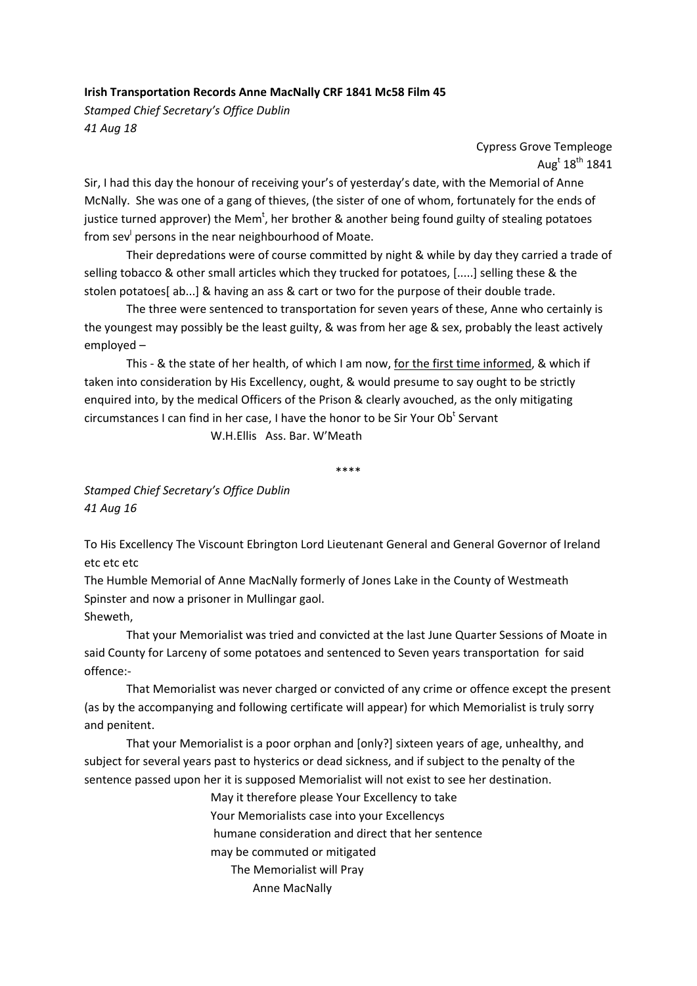## **Irish Transportation Records Anne MacNally CRF 1841 Mc58 Film 45**

*Stamped Chief Secretary's Office Dublin 41 Aug 18*

> Cypress Grove Templeoge Aug $^{\rm t}$  18 $^{\rm th}$  1841

Sir, I had this day the honour of receiving your's of yesterday's date, with the Memorial of Anne McNally. She was one of a gang of thieves, (the sister of one of whom, fortunately for the ends of justice turned approver) the Mem<sup>t</sup>, her brother & another being found guilty of stealing potatoes from sev<sup>I</sup> persons in the near neighbourhood of Moate.

Their depredations were of course committed by night & while by day they carried a trade of selling tobacco & other small articles which they trucked for potatoes, [.....] selling these & the stolen potatoes[ ab...] & having an ass & cart or two for the purpose of their double trade.

The three were sentenced to transportation for seven years of these, Anne who certainly is the youngest may possibly be the least guilty, & was from her age & sex, probably the least actively employed –

This ‐ & the state of her health, of which I am now, for the first time informed, & which if taken into consideration by His Excellency, ought, & would presume to say ought to be strictly enquired into, by the medical Officers of the Prison & clearly avouched, as the only mitigating circumstances I can find in her case, I have the honor to be Sir Your Ob<sup>t</sup> Servant

W.H.Ellis Ass. Bar. W'Meath

\*\*\*\*

*Stamped Chief Secretary's Office Dublin 41 Aug 16*

To His Excellency The Viscount Ebrington Lord Lieutenant General and General Governor of Ireland etc etc etc

The Humble Memorial of Anne MacNally formerly of Jones Lake in the County of Westmeath Spinster and now a prisoner in Mullingar gaol. Sheweth,

That your Memorialist was tried and convicted at the last June Quarter Sessions of Moate in said County for Larceny of some potatoes and sentenced to Seven years transportation for said offence:‐

That Memorialist was never charged or convicted of any crime or offence except the present (as by the accompanying and following certificate will appear) for which Memorialist is truly sorry and penitent.

That your Memorialist is a poor orphan and [only?] sixteen years of age, unhealthy, and subject for several years past to hysterics or dead sickness, and if subject to the penalty of the sentence passed upon her it is supposed Memorialist will not exist to see her destination.

> May it therefore please Your Excellency to take Your Memorialists case into your Excellencys humane consideration and direct that her sentence may be commuted or mitigated The Memorialist will Pray Anne MacNally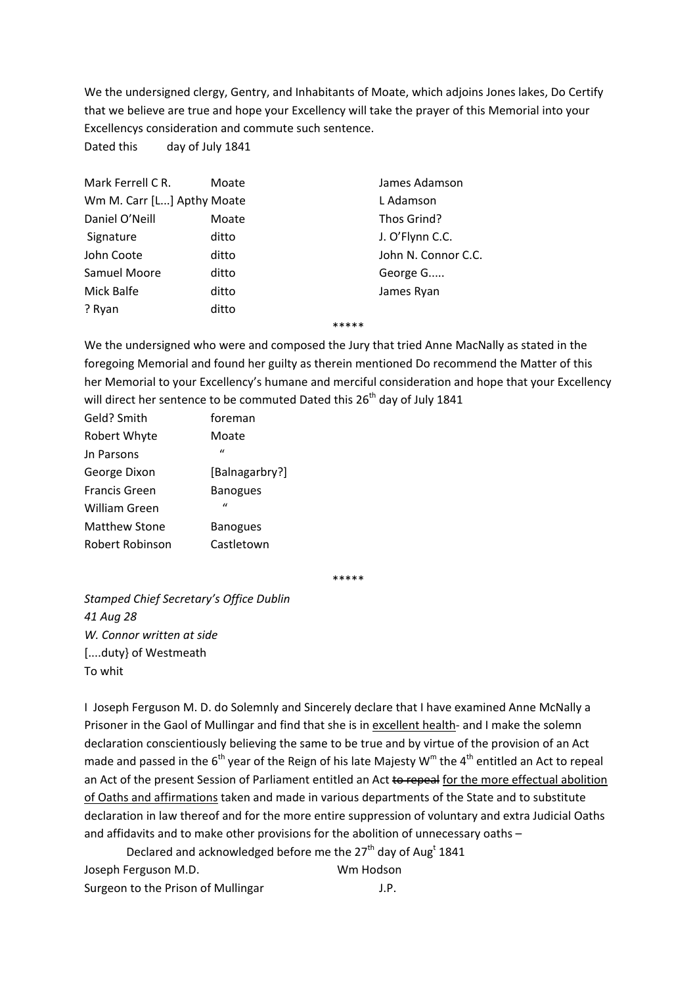We the undersigned clergy, Gentry, and Inhabitants of Moate, which adjoins Jones lakes, Do Certify that we believe are true and hope your Excellency will take the prayer of this Memorial into your Excellencys consideration and commute such sentence.

Dated this day of July 1841

| Moate                      | James Adamson       |
|----------------------------|---------------------|
| Wm M. Carr [L] Apthy Moate | L Adamson           |
| Moate                      | Thos Grind?         |
| ditto                      | J. O'Flynn C.C.     |
| ditto                      | John N. Connor C.C. |
| ditto                      | George G            |
| ditto                      | James Ryan          |
| ditto                      |                     |
|                            |                     |

## \*\*\*\*\*

We the undersigned who were and composed the Jury that tried Anne MacNally as stated in the foregoing Memorial and found her guilty as therein mentioned Do recommend the Matter of this her Memorial to your Excellency's humane and merciful consideration and hope that your Excellency will direct her sentence to be commuted Dated this 26<sup>th</sup> day of July 1841

| Geld? Smith          | foreman         |
|----------------------|-----------------|
| Robert Whyte         | Moate           |
| Jn Parsons           | $\mathbf{u}$    |
| George Dixon         | [Balnagarbry?]  |
| <b>Francis Green</b> | <b>Banogues</b> |
| William Green        | $\mathbf{u}$    |
| Matthew Stone        | <b>Banogues</b> |
| Robert Robinson      | Castletown      |

\*\*\*\*\*

*Stamped Chief Secretary's Office Dublin 41 Aug 28 W. Connor written at side* [....duty} of Westmeath To whit

I Joseph Ferguson M. D. do Solemnly and Sincerely declare that I have examined Anne McNally a Prisoner in the Gaol of Mullingar and find that she is in excellent health‐ and I make the solemn declaration conscientiously believing the same to be true and by virtue of the provision of an Act made and passed in the  $6<sup>th</sup>$  year of the Reign of his late Majesty W<sup>m</sup> the 4<sup>th</sup> entitled an Act to repeal an Act of the present Session of Parliament entitled an Act to repeal for the more effectual abolition of Oaths and affirmations taken and made in various departments of the State and to substitute declaration in law thereof and for the more entire suppression of voluntary and extra Judicial Oaths and affidavits and to make other provisions for the abolition of unnecessary oaths -

Declared and acknowledged before me the 27<sup>th</sup> day of Aug<sup>t</sup> 1841 Joseph Ferguson M.D. **WALL CONTENT WAS SERVEY** Surgeon to the Prison of Mullingar **Surgeon 1.P.**